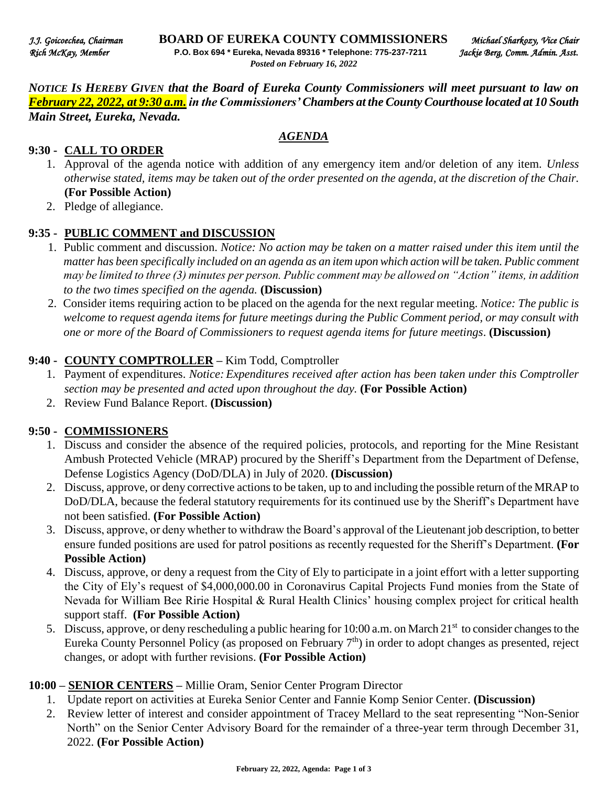*NOTICE IS HEREBY GIVEN that the Board of Eureka County Commissioners will meet pursuant to law on February 22, 2022, at 9:30 a.m. in the Commissioners' Chambers at the County Courthouse located at 10 South Main Street, Eureka, Nevada.* 

*AGENDA*

#### **9:30 - CALL TO ORDER**

#### 1. Approval of the agenda notice with addition of any emergency item and/or deletion of any item. *Unless otherwise stated, items may be taken out of the order presented on the agenda, at the discretion of the Chair.* **(For Possible Action)**

2. Pledge of allegiance.

#### **9:35 - PUBLIC COMMENT and DISCUSSION**

- 1. Public comment and discussion. *Notice: No action may be taken on a matter raised under this item until the matter has been specifically included on an agenda as an item upon which action will be taken. Public comment may be limited to three (3) minutes per person. Public comment may be allowed on "Action" items, in addition to the two times specified on the agenda.* **(Discussion)**
- 2. Consider items requiring action to be placed on the agenda for the next regular meeting. *Notice: The public is welcome to request agenda items for future meetings during the Public Comment period, or may consult with one or more of the Board of Commissioners to request agenda items for future meetings*. **(Discussion)**

#### **9:40 - COUNTY COMPTROLLER –** Kim Todd, Comptroller

- 1. Payment of expenditures. *Notice: Expenditures received after action has been taken under this Comptroller section may be presented and acted upon throughout the day.* **(For Possible Action)**
- 2. Review Fund Balance Report. **(Discussion)**

#### **9:50 - COMMISSIONERS**

- 1. Discuss and consider the absence of the required policies, protocols, and reporting for the Mine Resistant Ambush Protected Vehicle (MRAP) procured by the Sheriff's Department from the Department of Defense, Defense Logistics Agency (DoD/DLA) in July of 2020. **(Discussion)**
- 2. Discuss, approve, or deny corrective actions to be taken, up to and including the possible return of the MRAP to DoD/DLA, because the federal statutory requirements for its continued use by the Sheriff's Department have not been satisfied. **(For Possible Action)**
- 3. Discuss, approve, or deny whether to withdraw the Board's approval of the Lieutenant job description, to better ensure funded positions are used for patrol positions as recently requested for the Sheriff's Department. **(For Possible Action)**
- 4. Discuss, approve, or deny a request from the City of Ely to participate in a joint effort with a letter supporting the City of Ely's request of \$4,000,000.00 in Coronavirus Capital Projects Fund monies from the State of Nevada for William Bee Ririe Hospital & Rural Health Clinics' housing complex project for critical health support staff. **(For Possible Action)**
- 5. Discuss, approve, or deny rescheduling a public hearing for 10:00 a.m. on March 21<sup>st</sup> to consider changes to the Eureka County Personnel Policy (as proposed on February  $7<sup>th</sup>$ ) in order to adopt changes as presented, reject changes, or adopt with further revisions. **(For Possible Action)**

#### **10:00 – SENIOR CENTERS –** Millie Oram, Senior Center Program Director

- 1. Update report on activities at Eureka Senior Center and Fannie Komp Senior Center. **(Discussion)**
- 2. Review letter of interest and consider appointment of Tracey Mellard to the seat representing "Non-Senior North" on the Senior Center Advisory Board for the remainder of a three-year term through December 31, 2022. **(For Possible Action)**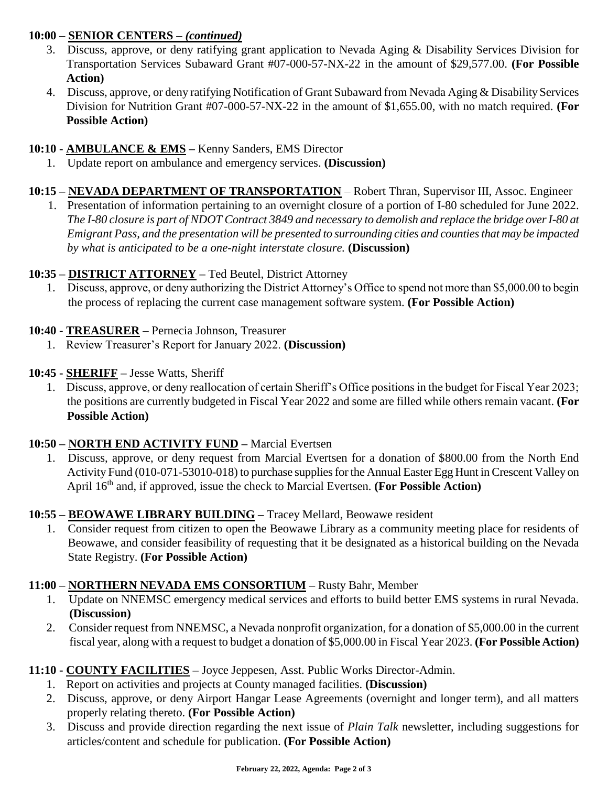## **10:00 – SENIOR CENTERS** *– (continued)*

- 3. Discuss, approve, or deny ratifying grant application to Nevada Aging & Disability Services Division for Transportation Services Subaward Grant #07-000-57-NX-22 in the amount of \$29,577.00. **(For Possible Action)**
- 4. Discuss, approve, or deny ratifying Notification of Grant Subaward from Nevada Aging & Disability Services Division for Nutrition Grant #07-000-57-NX-22 in the amount of \$1,655.00, with no match required. **(For Possible Action)**

### **10:10 - AMBULANCE & EMS –** Kenny Sanders, EMS Director

- 1. Update report on ambulance and emergency services. **(Discussion)**
- **10:15 – NEVADA DEPARTMENT OF TRANSPORTATION** Robert Thran, Supervisor III, Assoc. Engineer
	- 1. Presentation of information pertaining to an overnight closure of a portion of I-80 scheduled for June 2022. *The I-80 closure is part of NDOT Contract 3849 and necessary to demolish and replace the bridge over I-80 at Emigrant Pass, and the presentation will be presented to surrounding cities and counties that may be impacted by what is anticipated to be a one-night interstate closure.* **(Discussion)**

## **10:35 – DISTRICT ATTORNEY –** Ted Beutel, District Attorney

1. Discuss, approve, or deny authorizing the District Attorney's Office to spend not more than \$5,000.00 to begin the process of replacing the current case management software system. **(For Possible Action)**

### **10:40 - TREASURER –** Pernecia Johnson, Treasurer

- 1. Review Treasurer's Report for January 2022. **(Discussion)**
- **10:45 - SHERIFF –** Jesse Watts, Sheriff
	- 1. Discuss, approve, or deny reallocation of certain Sheriff's Office positions in the budget for Fiscal Year 2023; the positions are currently budgeted in Fiscal Year 2022 and some are filled while others remain vacant. **(For Possible Action)**

### **10:50 – NORTH END ACTIVITY FUND –** Marcial Evertsen

1. Discuss, approve, or deny request from Marcial Evertsen for a donation of \$800.00 from the North End Activity Fund (010-071-53010-018) to purchase supplies for the Annual Easter Egg Hunt in Crescent Valley on April 16<sup>th</sup> and, if approved, issue the check to Marcial Evertsen. **(For Possible Action)** 

### **10:55 – BEOWAWE LIBRARY BUILDING –** Tracey Mellard, Beowawe resident

1. Consider request from citizen to open the Beowawe Library as a community meeting place for residents of Beowawe, and consider feasibility of requesting that it be designated as a historical building on the Nevada State Registry. **(For Possible Action)** 

### **11:00 – NORTHERN NEVADA EMS CONSORTIUM –** Rusty Bahr, Member

- 1. Update on NNEMSC emergency medical services and efforts to build better EMS systems in rural Nevada. **(Discussion)**
- 2. Consider request from NNEMSC, a Nevada nonprofit organization, for a donation of \$5,000.00 in the current fiscal year, along with a request to budget a donation of \$5,000.00 in Fiscal Year 2023. **(For Possible Action)**

### **11:10 - COUNTY FACILITIES –** Joyce Jeppesen, Asst. Public Works Director-Admin.

- 1. Report on activities and projects at County managed facilities. **(Discussion)**
- 2. Discuss, approve, or deny Airport Hangar Lease Agreements (overnight and longer term), and all matters properly relating thereto. **(For Possible Action)**
- 3. Discuss and provide direction regarding the next issue of *Plain Talk* newsletter, including suggestions for articles/content and schedule for publication. **(For Possible Action)**